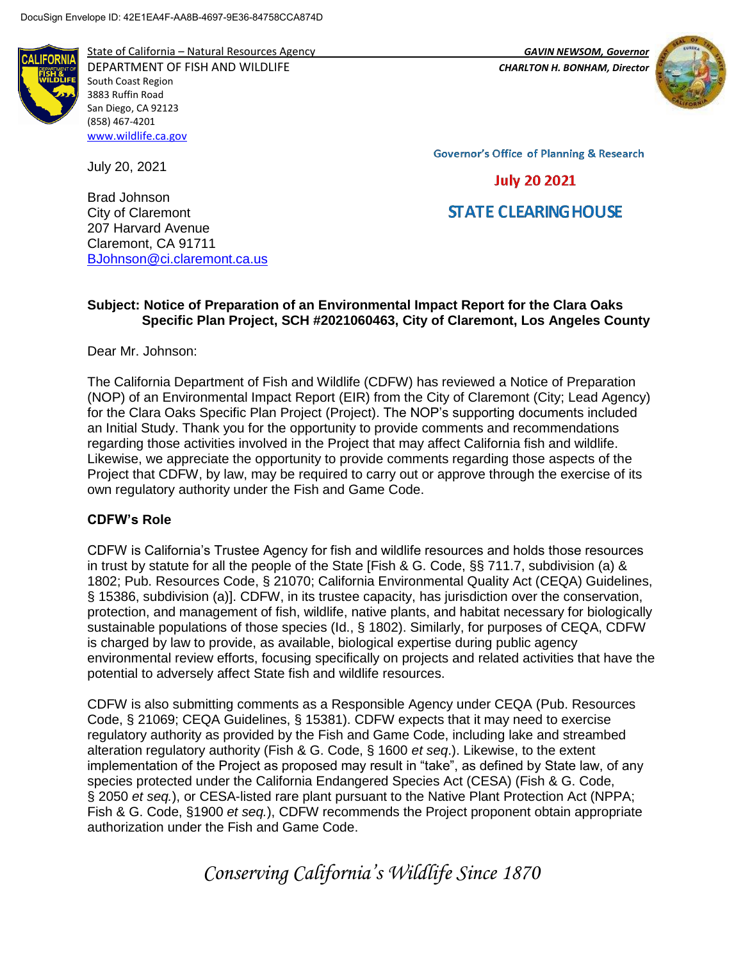

State of California – Natural Resources Agency *GAVIN NEWSOM, Governor*

DEPARTMENT OF FISH AND WILDLIFE *CHARLTON H. BONHAM, Director*  South Coast Region 3883 Ruffin Road San Diego, CA 92123 (858) 467-4201 [www.wildlife.ca.gov](http://www.wildlife.ca.gov/)

July 20, 2021

Brad Johnson City of Claremont 207 Harvard Avenue Claremont, CA 91711 [BJohnson@ci.claremont.ca.us](mailto:BJohnson@ci.claremont.ca.us)



**Governor's Office of Planning & Research** 

## **July 20 2021**

# **STATE CLEARING HOUSE**

## **Subject: Notice of Preparation of an Environmental Impact Report for the Clara Oaks Specific Plan Project, SCH #2021060463, City of Claremont, Los Angeles County**

Dear Mr. Johnson:

The California Department of Fish and Wildlife (CDFW) has reviewed a Notice of Preparation (NOP) of an Environmental Impact Report (EIR) from the City of Claremont (City; Lead Agency) for the Clara Oaks Specific Plan Project (Project). The NOP's supporting documents included an Initial Study. Thank you for the opportunity to provide comments and recommendations regarding those activities involved in the Project that may affect California fish and wildlife. Likewise, we appreciate the opportunity to provide comments regarding those aspects of the Project that CDFW, by law, may be required to carry out or approve through the exercise of its own regulatory authority under the Fish and Game Code.

### **CDFW's Role**

CDFW is California's Trustee Agency for fish and wildlife resources and holds those resources in trust by statute for all the people of the State [Fish & G. Code, §§ 711.7, subdivision (a) & 1802; Pub. Resources Code, § 21070; California Environmental Quality Act (CEQA) Guidelines, § 15386, subdivision (a)]. CDFW, in its trustee capacity, has jurisdiction over the conservation, protection, and management of fish, wildlife, native plants, and habitat necessary for biologically sustainable populations of those species (Id., § 1802). Similarly, for purposes of CEQA, CDFW is charged by law to provide, as available, biological expertise during public agency environmental review efforts, focusing specifically on projects and related activities that have the potential to adversely affect State fish and wildlife resources.

CDFW is also submitting comments as a Responsible Agency under CEQA (Pub. Resources Code, § 21069; CEQA Guidelines, § 15381). CDFW expects that it may need to exercise regulatory authority as provided by the Fish and Game Code, including lake and streambed alteration regulatory authority (Fish & G. Code, § 1600 *et seq*.). Likewise, to the extent implementation of the Project as proposed may result in "take", as defined by State law, of any species protected under the California Endangered Species Act (CESA) (Fish & G. Code, § 2050 *et seq.*), or CESA-listed rare plant pursuant to the Native Plant Protection Act (NPPA; Fish & G. Code, §1900 *et seq.*), CDFW recommends the Project proponent obtain appropriate authorization under the Fish and Game Code.

*Conserving California's Wildlife Since 1870*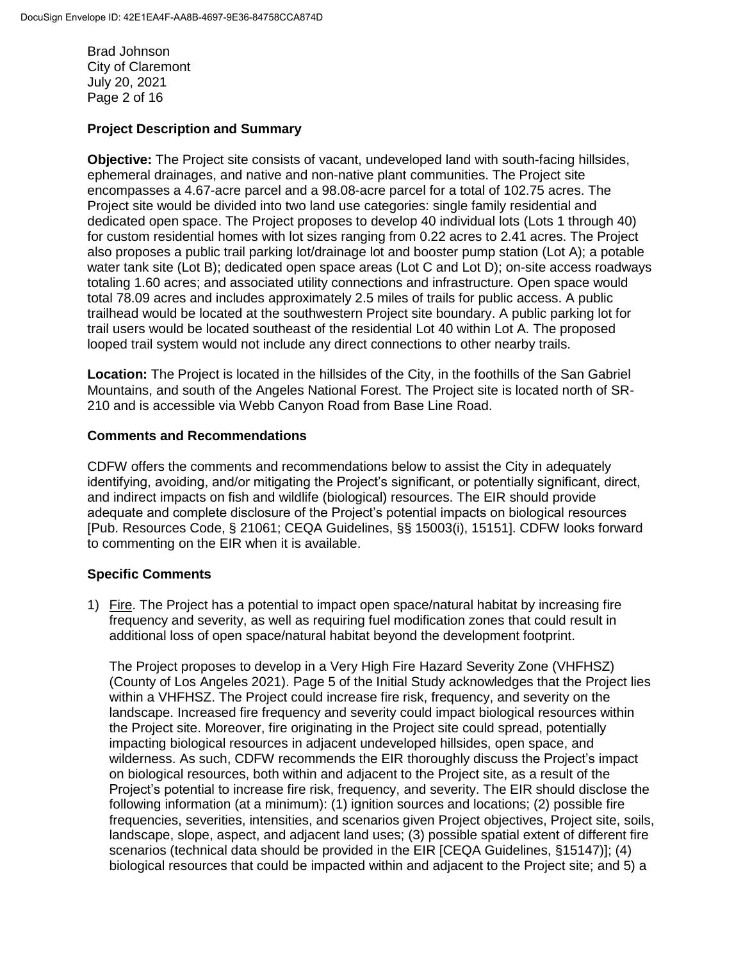Brad Johnson City of Claremont July 20, 2021 Page 2 of 16

#### **Project Description and Summary**

**Objective:** The Project site consists of vacant, undeveloped land with south-facing hillsides, ephemeral drainages, and native and non-native plant communities. The Project site encompasses a 4.67-acre parcel and a 98.08-acre parcel for a total of 102.75 acres. The Project site would be divided into two land use categories: single family residential and dedicated open space. The Project proposes to develop 40 individual lots (Lots 1 through 40) for custom residential homes with lot sizes ranging from 0.22 acres to 2.41 acres. The Project also proposes a public trail parking lot/drainage lot and booster pump station (Lot A); a potable water tank site (Lot B); dedicated open space areas (Lot C and Lot D); on-site access roadways totaling 1.60 acres; and associated utility connections and infrastructure. Open space would total 78.09 acres and includes approximately 2.5 miles of trails for public access. A public trailhead would be located at the southwestern Project site boundary. A public parking lot for trail users would be located southeast of the residential Lot 40 within Lot A. The proposed looped trail system would not include any direct connections to other nearby trails.

**Location:** The Project is located in the hillsides of the City, in the foothills of the San Gabriel Mountains, and south of the Angeles National Forest. The Project site is located north of SR-210 and is accessible via Webb Canyon Road from Base Line Road.

#### **Comments and Recommendations**

CDFW offers the comments and recommendations below to assist the City in adequately identifying, avoiding, and/or mitigating the Project's significant, or potentially significant, direct, and indirect impacts on fish and wildlife (biological) resources. The EIR should provide adequate and complete disclosure of the Project's potential impacts on biological resources [Pub. Resources Code, § 21061; CEQA Guidelines, §§ 15003(i), 15151]. CDFW looks forward to commenting on the EIR when it is available.

### **Specific Comments**

1) Fire. The Project has a potential to impact open space/natural habitat by increasing fire frequency and severity, as well as requiring fuel modification zones that could result in additional loss of open space/natural habitat beyond the development footprint.

The Project proposes to develop in a Very High Fire Hazard Severity Zone (VHFHSZ) (County of Los Angeles 2021). Page 5 of the Initial Study acknowledges that the Project lies within a VHFHSZ. The Project could increase fire risk, frequency, and severity on the landscape. Increased fire frequency and severity could impact biological resources within the Project site. Moreover, fire originating in the Project site could spread, potentially impacting biological resources in adjacent undeveloped hillsides, open space, and wilderness. As such, CDFW recommends the EIR thoroughly discuss the Project's impact on biological resources, both within and adjacent to the Project site, as a result of the Project's potential to increase fire risk, frequency, and severity. The EIR should disclose the following information (at a minimum): (1) ignition sources and locations; (2) possible fire frequencies, severities, intensities, and scenarios given Project objectives, Project site, soils, landscape, slope, aspect, and adjacent land uses; (3) possible spatial extent of different fire scenarios (technical data should be provided in the EIR [CEQA Guidelines, §15147)]; (4) biological resources that could be impacted within and adjacent to the Project site; and 5) a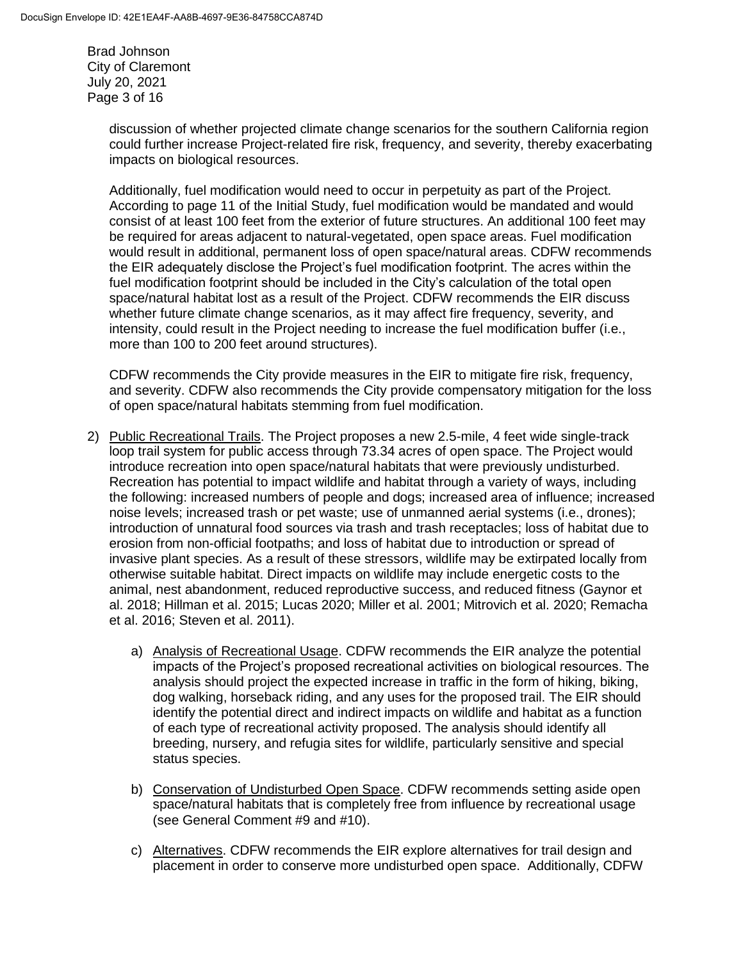Brad Johnson City of Claremont July 20, 2021 Page 3 of 16

> discussion of whether projected climate change scenarios for the southern California region could further increase Project-related fire risk, frequency, and severity, thereby exacerbating impacts on biological resources.

> Additionally, fuel modification would need to occur in perpetuity as part of the Project. According to page 11 of the Initial Study, fuel modification would be mandated and would consist of at least 100 feet from the exterior of future structures. An additional 100 feet may be required for areas adjacent to natural-vegetated, open space areas. Fuel modification would result in additional, permanent loss of open space/natural areas. CDFW recommends the EIR adequately disclose the Project's fuel modification footprint. The acres within the fuel modification footprint should be included in the City's calculation of the total open space/natural habitat lost as a result of the Project. CDFW recommends the EIR discuss whether future climate change scenarios, as it may affect fire frequency, severity, and intensity, could result in the Project needing to increase the fuel modification buffer (i.e., more than 100 to 200 feet around structures).

> CDFW recommends the City provide measures in the EIR to mitigate fire risk, frequency, and severity. CDFW also recommends the City provide compensatory mitigation for the loss of open space/natural habitats stemming from fuel modification.

- 2) Public Recreational Trails. The Project proposes a new 2.5-mile, 4 feet wide single-track loop trail system for public access through 73.34 acres of open space. The Project would introduce recreation into open space/natural habitats that were previously undisturbed. Recreation has potential to impact wildlife and habitat through a variety of ways, including the following: increased numbers of people and dogs; increased area of influence; increased noise levels; increased trash or pet waste; use of unmanned aerial systems (i.e., drones); introduction of unnatural food sources via trash and trash receptacles; loss of habitat due to erosion from non-official footpaths; and loss of habitat due to introduction or spread of invasive plant species. As a result of these stressors, wildlife may be extirpated locally from otherwise suitable habitat. Direct impacts on wildlife may include energetic costs to the animal, nest abandonment, reduced reproductive success, and reduced fitness (Gaynor et al. 2018; Hillman et al. 2015; Lucas 2020; Miller et al. 2001; Mitrovich et al. 2020; Remacha et al. 2016; Steven et al. 2011).
	- a) Analysis of Recreational Usage. CDFW recommends the EIR analyze the potential impacts of the Project's proposed recreational activities on biological resources. The analysis should project the expected increase in traffic in the form of hiking, biking, dog walking, horseback riding, and any uses for the proposed trail. The EIR should identify the potential direct and indirect impacts on wildlife and habitat as a function of each type of recreational activity proposed. The analysis should identify all breeding, nursery, and refugia sites for wildlife, particularly sensitive and special status species.
	- b) Conservation of Undisturbed Open Space. CDFW recommends setting aside open space/natural habitats that is completely free from influence by recreational usage (see General Comment #9 and #10).
	- c) Alternatives. CDFW recommends the EIR explore alternatives for trail design and placement in order to conserve more undisturbed open space. Additionally, CDFW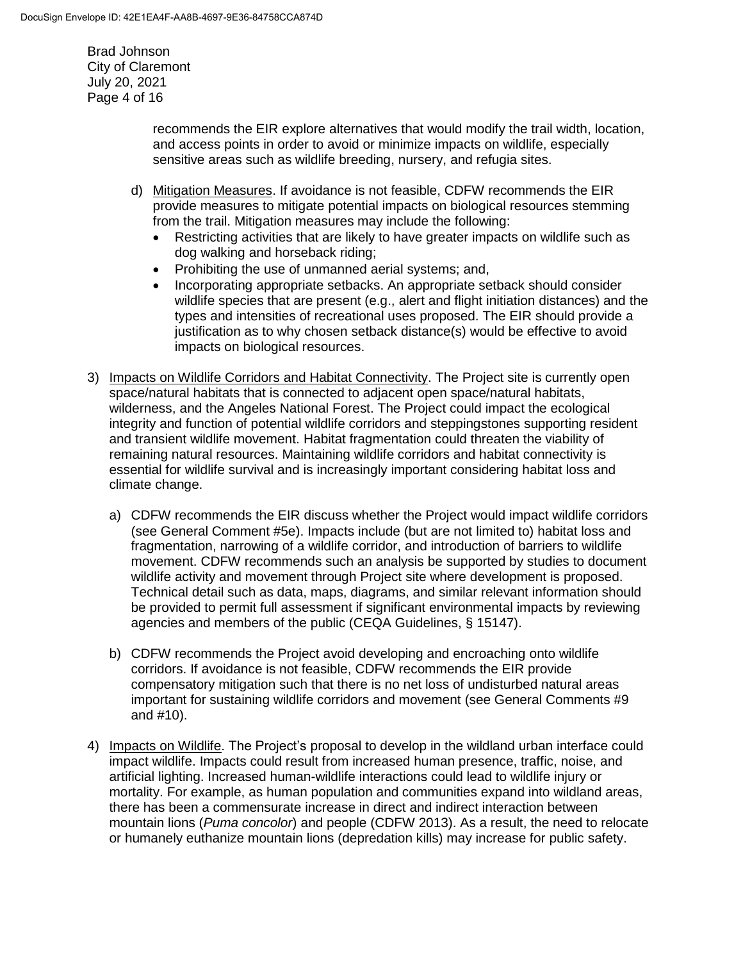Brad Johnson City of Claremont July 20, 2021 Page 4 of 16

> recommends the EIR explore alternatives that would modify the trail width, location, and access points in order to avoid or minimize impacts on wildlife, especially sensitive areas such as wildlife breeding, nursery, and refugia sites.

- d) Mitigation Measures. If avoidance is not feasible, CDFW recommends the EIR provide measures to mitigate potential impacts on biological resources stemming from the trail. Mitigation measures may include the following:
	- Restricting activities that are likely to have greater impacts on wildlife such as dog walking and horseback riding;
	- Prohibiting the use of unmanned aerial systems; and,
	- Incorporating appropriate setbacks. An appropriate setback should consider wildlife species that are present (e.g., alert and flight initiation distances) and the types and intensities of recreational uses proposed. The EIR should provide a justification as to why chosen setback distance(s) would be effective to avoid impacts on biological resources.
- 3) Impacts on Wildlife Corridors and Habitat Connectivity. The Project site is currently open space/natural habitats that is connected to adjacent open space/natural habitats, wilderness, and the Angeles National Forest. The Project could impact the ecological integrity and function of potential wildlife corridors and steppingstones supporting resident and transient wildlife movement. Habitat fragmentation could threaten the viability of remaining natural resources. Maintaining wildlife corridors and habitat connectivity is essential for wildlife survival and is increasingly important considering habitat loss and climate change.
	- a) CDFW recommends the EIR discuss whether the Project would impact wildlife corridors (see General Comment #5e). Impacts include (but are not limited to) habitat loss and fragmentation, narrowing of a wildlife corridor, and introduction of barriers to wildlife movement. CDFW recommends such an analysis be supported by studies to document wildlife activity and movement through Project site where development is proposed. Technical detail such as data, maps, diagrams, and similar relevant information should be provided to permit full assessment if significant environmental impacts by reviewing agencies and members of the public (CEQA Guidelines, § 15147).
	- b) CDFW recommends the Project avoid developing and encroaching onto wildlife corridors. If avoidance is not feasible, CDFW recommends the EIR provide compensatory mitigation such that there is no net loss of undisturbed natural areas important for sustaining wildlife corridors and movement (see General Comments #9 and #10).
- 4) Impacts on Wildlife. The Project's proposal to develop in the wildland urban interface could impact wildlife. Impacts could result from increased human presence, traffic, noise, and artificial lighting. Increased human-wildlife interactions could lead to wildlife injury or mortality. For example, as human population and communities expand into wildland areas, there has been a commensurate increase in direct and indirect interaction between mountain lions (*Puma concolor*) and people (CDFW 2013). As a result, the need to relocate or humanely euthanize mountain lions (depredation kills) may increase for public safety.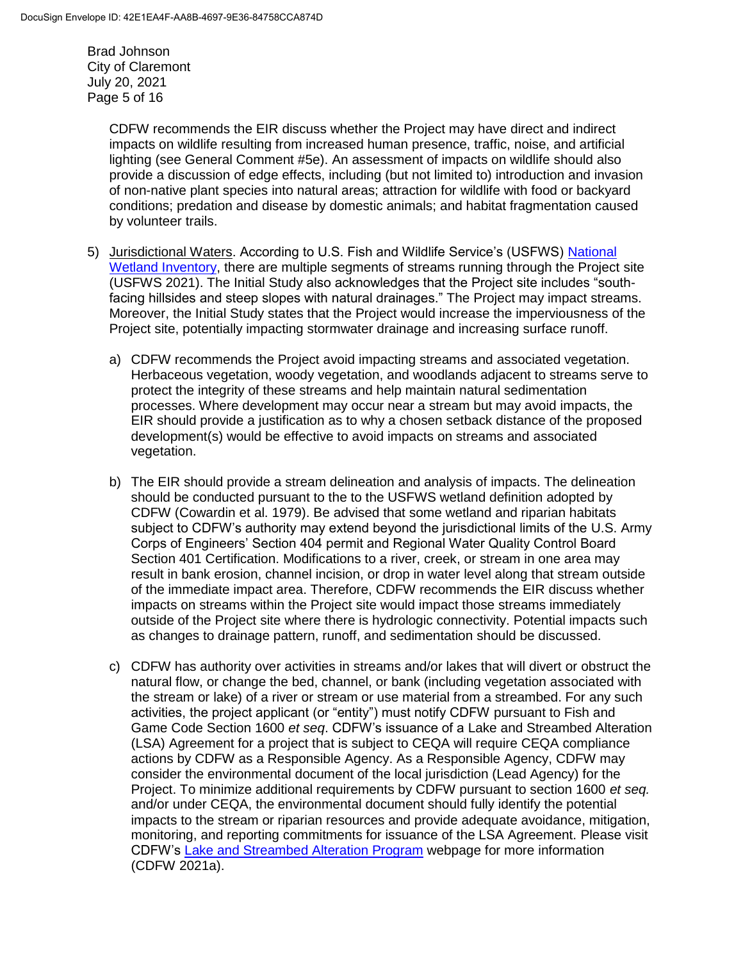Brad Johnson City of Claremont July 20, 2021 Page 5 of 16

> CDFW recommends the EIR discuss whether the Project may have direct and indirect impacts on wildlife resulting from increased human presence, traffic, noise, and artificial lighting (see General Comment #5e). An assessment of impacts on wildlife should also provide a discussion of edge effects, including (but not limited to) introduction and invasion of non-native plant species into natural areas; attraction for wildlife with food or backyard conditions; predation and disease by domestic animals; and habitat fragmentation caused by volunteer trails.

- 5) Jurisdictional Waters. According to U.S. Fish and Wildlife Service's (USFWS) [National](https://www.fws.gov/wetlands/data/mapper.html)  [Wetland Inventory,](https://www.fws.gov/wetlands/data/mapper.html) there are multiple segments of streams running through the Project site (USFWS 2021). The Initial Study also acknowledges that the Project site includes "southfacing hillsides and steep slopes with natural drainages." The Project may impact streams. Moreover, the Initial Study states that the Project would increase the imperviousness of the Project site, potentially impacting stormwater drainage and increasing surface runoff.
	- a) CDFW recommends the Project avoid impacting streams and associated vegetation. Herbaceous vegetation, woody vegetation, and woodlands adjacent to streams serve to protect the integrity of these streams and help maintain natural sedimentation processes. Where development may occur near a stream but may avoid impacts, the EIR should provide a justification as to why a chosen setback distance of the proposed development(s) would be effective to avoid impacts on streams and associated vegetation.
	- b) The EIR should provide a stream delineation and analysis of impacts. The delineation should be conducted pursuant to the to the USFWS wetland definition adopted by CDFW (Cowardin et al. 1979). Be advised that some wetland and riparian habitats subject to CDFW's authority may extend beyond the jurisdictional limits of the U.S. Army Corps of Engineers' Section 404 permit and Regional Water Quality Control Board Section 401 Certification. Modifications to a river, creek, or stream in one area may result in bank erosion, channel incision, or drop in water level along that stream outside of the immediate impact area. Therefore, CDFW recommends the EIR discuss whether impacts on streams within the Project site would impact those streams immediately outside of the Project site where there is hydrologic connectivity. Potential impacts such as changes to drainage pattern, runoff, and sedimentation should be discussed.
	- c) CDFW has authority over activities in streams and/or lakes that will divert or obstruct the natural flow, or change the bed, channel, or bank (including vegetation associated with the stream or lake) of a river or stream or use material from a streambed. For any such activities, the project applicant (or "entity") must notify CDFW pursuant to Fish and Game Code Section 1600 *et seq*. CDFW's issuance of a Lake and Streambed Alteration (LSA) Agreement for a project that is subject to CEQA will require CEQA compliance actions by CDFW as a Responsible Agency. As a Responsible Agency, CDFW may consider the environmental document of the local jurisdiction (Lead Agency) for the Project. To minimize additional requirements by CDFW pursuant to section 1600 *et seq.* and/or under CEQA, the environmental document should fully identify the potential impacts to the stream or riparian resources and provide adequate avoidance, mitigation, monitoring, and reporting commitments for issuance of the LSA Agreement. Please visit CDFW's [Lake and Streambed Alteration Program](https://wildlife.ca.gov/Conservation/LSA) webpage for more information (CDFW 2021a).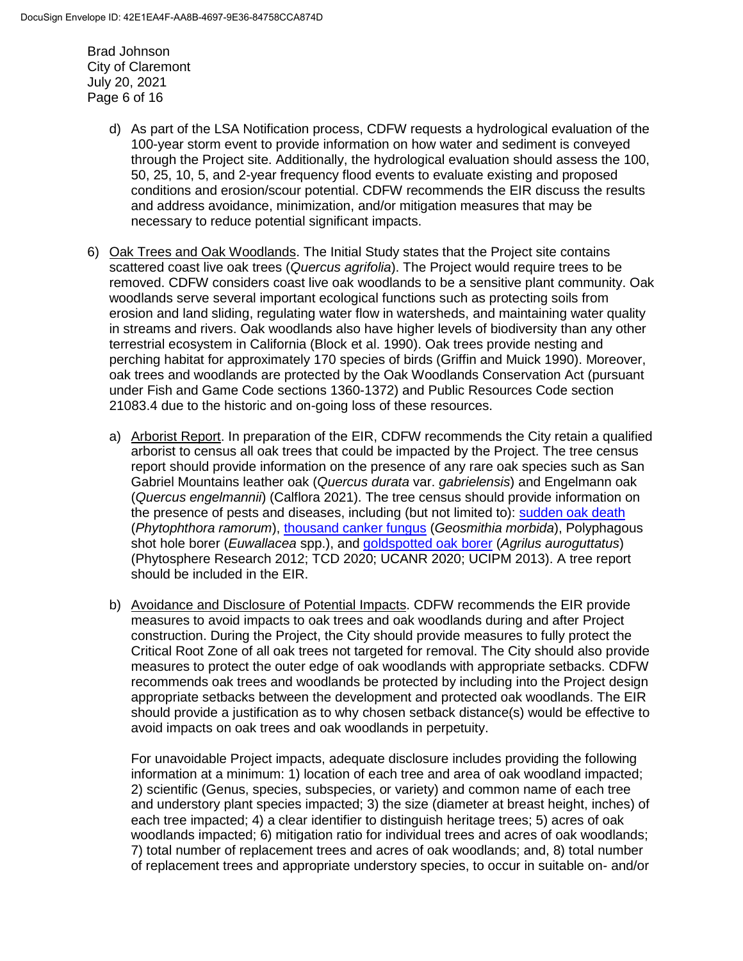Brad Johnson City of Claremont July 20, 2021 Page 6 of 16

- d) As part of the LSA Notification process, CDFW requests a hydrological evaluation of the 100-year storm event to provide information on how water and sediment is conveyed through the Project site. Additionally, the hydrological evaluation should assess the 100, 50, 25, 10, 5, and 2-year frequency flood events to evaluate existing and proposed conditions and erosion/scour potential. CDFW recommends the EIR discuss the results and address avoidance, minimization, and/or mitigation measures that may be necessary to reduce potential significant impacts.
- 6) Oak Trees and Oak Woodlands. The Initial Study states that the Project site contains scattered coast live oak trees (*Quercus agrifolia*). The Project would require trees to be removed. CDFW considers coast live oak woodlands to be a sensitive plant community. Oak woodlands serve several important ecological functions such as protecting soils from erosion and land sliding, regulating water flow in watersheds, and maintaining water quality in streams and rivers. Oak woodlands also have higher levels of biodiversity than any other terrestrial ecosystem in California (Block et al. 1990). Oak trees provide nesting and perching habitat for approximately 170 species of birds (Griffin and Muick 1990). Moreover, oak trees and woodlands are protected by the Oak Woodlands Conservation Act (pursuant under Fish and Game Code sections 1360-1372) and Public Resources Code section 21083.4 due to the historic and on-going loss of these resources.
	- a) Arborist Report. In preparation of the EIR, CDFW recommends the City retain a qualified arborist to census all oak trees that could be impacted by the Project. The tree census report should provide information on the presence of any rare oak species such as San Gabriel Mountains leather oak (*Quercus durata* var. *gabrielensis*) and Engelmann oak (*Quercus engelmannii*) (Calflora 2021). The tree census should provide information on the presence of pests and diseases, including (but not limited to): [sudden oak death](http://phytosphere.com/SODmgtPUB/pg6Sidebar1-1SODmgntpub.htm) (*Phytophthora ramorum*), [thousand canker fungus](http://www.thousandcankers.com/) (*Geosmithia morbida*), Polyphagous shot hole borer (*Euwallacea* spp.), and [goldspotted oak borer](http://ipm.ucanr.edu/PMG/PESTNOTES/pn74163.html) (*Agrilus auroguttatus*) (Phytosphere Research 2012; TCD 2020; UCANR 2020; UCIPM 2013). A tree report should be included in the EIR.
	- b) Avoidance and Disclosure of Potential Impacts. CDFW recommends the EIR provide measures to avoid impacts to oak trees and oak woodlands during and after Project construction. During the Project, the City should provide measures to fully protect the Critical Root Zone of all oak trees not targeted for removal. The City should also provide measures to protect the outer edge of oak woodlands with appropriate setbacks. CDFW recommends oak trees and woodlands be protected by including into the Project design appropriate setbacks between the development and protected oak woodlands. The EIR should provide a justification as to why chosen setback distance(s) would be effective to avoid impacts on oak trees and oak woodlands in perpetuity.

For unavoidable Project impacts, adequate disclosure includes providing the following information at a minimum: 1) location of each tree and area of oak woodland impacted; 2) scientific (Genus, species, subspecies, or variety) and common name of each tree and understory plant species impacted; 3) the size (diameter at breast height, inches) of each tree impacted; 4) a clear identifier to distinguish heritage trees; 5) acres of oak woodlands impacted; 6) mitigation ratio for individual trees and acres of oak woodlands; 7) total number of replacement trees and acres of oak woodlands; and, 8) total number of replacement trees and appropriate understory species, to occur in suitable on- and/or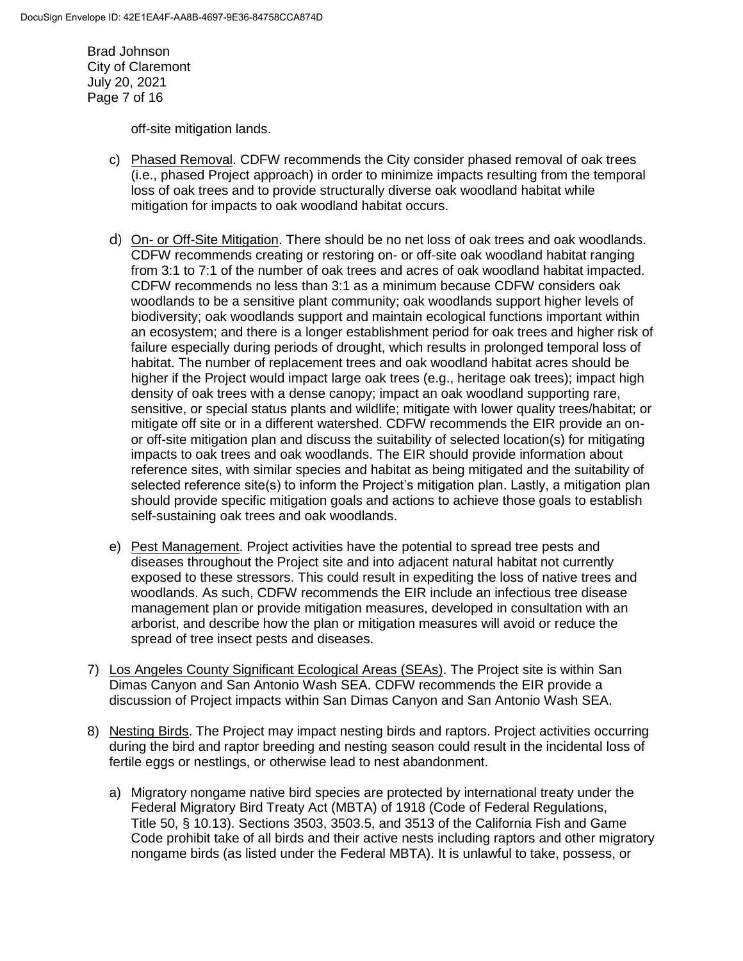Brad Johnson City of Claremont July 20, 2021 Page 7 of 16

off-site mitigation lands.

- c) Phased Removal. CDFW recommends the City consider phased removal of oak trees (i.e., phased Project approach) in order to minimize impacts resulting from the temporal loss of oak trees and to provide structurally diverse oak woodland habitat while mitigation for impacts to oak woodland habitat occurs.
- d) On- or Off-Site Mitigation. There should be no net loss of oak trees and oak woodlands. CDFW recommends creating or restoring on- or off-site oak woodland habitat ranging from 3:1 to 7:1 of the number of oak trees and acres of oak woodland habitat impacted. CDFW recommends no less than 3:1 as a minimum because CDFW considers oak woodlands to be a sensitive plant community; oak woodlands support higher levels of biodiversity; oak woodlands support and maintain ecological functions important within an ecosystem; and there is a longer establishment period for oak trees and higher risk of failure especially during periods of drought, which results in prolonged temporal loss of habitat. The number of replacement trees and oak woodland habitat acres should be higher if the Project would impact large oak trees (e.g., heritage oak trees); impact high density of oak trees with a dense canopy; impact an oak woodland supporting rare, sensitive, or special status plants and wildlife; mitigate with lower quality trees/habitat; or mitigate off site or in a different watershed. CDFW recommends the EIR provide an onor off-site mitigation plan and discuss the suitability of selected location(s) for mitigating impacts to oak trees and oak woodlands. The EIR should provide information about reference sites, with similar species and habitat as being mitigated and the suitability of selected reference site(s) to inform the Project's mitigation plan. Lastly, a mitigation plan should provide specific mitigation goals and actions to achieve those goals to establish self-sustaining oak trees and oak woodlands.
- e) Pest Management. Project activities have the potential to spread tree pests and diseases throughout the Project site and into adjacent natural habitat not currently exposed to these stressors. This could result in expediting the loss of native trees and woodlands. As such, CDFW recommends the EIR include an infectious tree disease management plan or provide mitigation measures, developed in consultation with an arborist, and describe how the plan or mitigation measures will avoid or reduce the spread of tree insect pests and diseases.
- 7) Los Angeles County Significant Ecological Areas (SEAs). The Project site is within San Dimas Canyon and San Antonio Wash SEA. CDFW recommends the EIR provide a discussion of Project impacts within San Dimas Canyon and San Antonio Wash SEA.
- 8) Nesting Birds. The Project may impact nesting birds and raptors. Project activities occurring during the bird and raptor breeding and nesting season could result in the incidental loss of fertile eggs or nestlings, or otherwise lead to nest abandonment.
	- a) Migratory nongame native bird species are protected by international treaty under the Federal Migratory Bird Treaty Act (MBTA) of 1918 (Code of Federal Regulations, Title 50, § 10.13). Sections 3503, 3503.5, and 3513 of the California Fish and Game Code prohibit take of all birds and their active nests including raptors and other migratory nongame birds (as listed under the Federal MBTA). It is unlawful to take, possess, or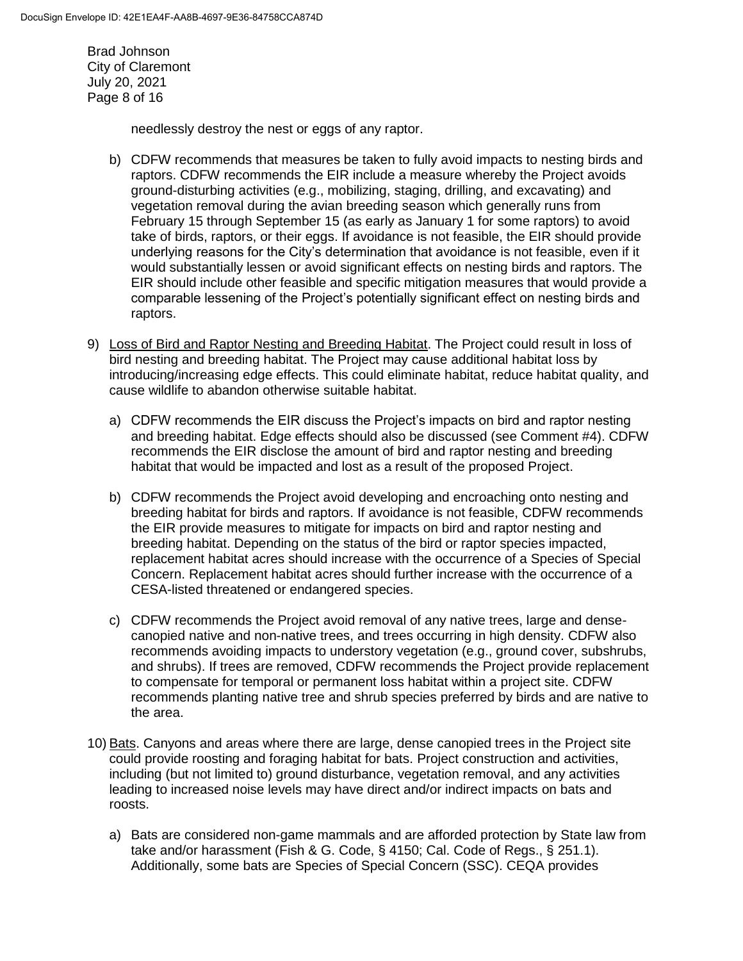Brad Johnson City of Claremont July 20, 2021 Page 8 of 16

needlessly destroy the nest or eggs of any raptor.

- b) CDFW recommends that measures be taken to fully avoid impacts to nesting birds and raptors. CDFW recommends the EIR include a measure whereby the Project avoids ground-disturbing activities (e.g., mobilizing, staging, drilling, and excavating) and vegetation removal during the avian breeding season which generally runs from February 15 through September 15 (as early as January 1 for some raptors) to avoid take of birds, raptors, or their eggs. If avoidance is not feasible, the EIR should provide underlying reasons for the City's determination that avoidance is not feasible, even if it would substantially lessen or avoid significant effects on nesting birds and raptors. The EIR should include other feasible and specific mitigation measures that would provide a comparable lessening of the Project's potentially significant effect on nesting birds and raptors.
- 9) Loss of Bird and Raptor Nesting and Breeding Habitat. The Project could result in loss of bird nesting and breeding habitat. The Project may cause additional habitat loss by introducing/increasing edge effects. This could eliminate habitat, reduce habitat quality, and cause wildlife to abandon otherwise suitable habitat.
	- a) CDFW recommends the EIR discuss the Project's impacts on bird and raptor nesting and breeding habitat. Edge effects should also be discussed (see Comment #4). CDFW recommends the EIR disclose the amount of bird and raptor nesting and breeding habitat that would be impacted and lost as a result of the proposed Project.
	- b) CDFW recommends the Project avoid developing and encroaching onto nesting and breeding habitat for birds and raptors. If avoidance is not feasible, CDFW recommends the EIR provide measures to mitigate for impacts on bird and raptor nesting and breeding habitat. Depending on the status of the bird or raptor species impacted, replacement habitat acres should increase with the occurrence of a Species of Special Concern. Replacement habitat acres should further increase with the occurrence of a CESA-listed threatened or endangered species.
	- c) CDFW recommends the Project avoid removal of any native trees, large and densecanopied native and non-native trees, and trees occurring in high density. CDFW also recommends avoiding impacts to understory vegetation (e.g., ground cover, subshrubs, and shrubs). If trees are removed, CDFW recommends the Project provide replacement to compensate for temporal or permanent loss habitat within a project site. CDFW recommends planting native tree and shrub species preferred by birds and are native to the area.
- 10) Bats. Canyons and areas where there are large, dense canopied trees in the Project site could provide roosting and foraging habitat for bats. Project construction and activities, including (but not limited to) ground disturbance, vegetation removal, and any activities leading to increased noise levels may have direct and/or indirect impacts on bats and roosts.
	- a) Bats are considered non-game mammals and are afforded protection by State law from take and/or harassment (Fish & G. Code, § 4150; Cal. Code of Regs., § 251.1). Additionally, some bats are Species of Special Concern (SSC). CEQA provides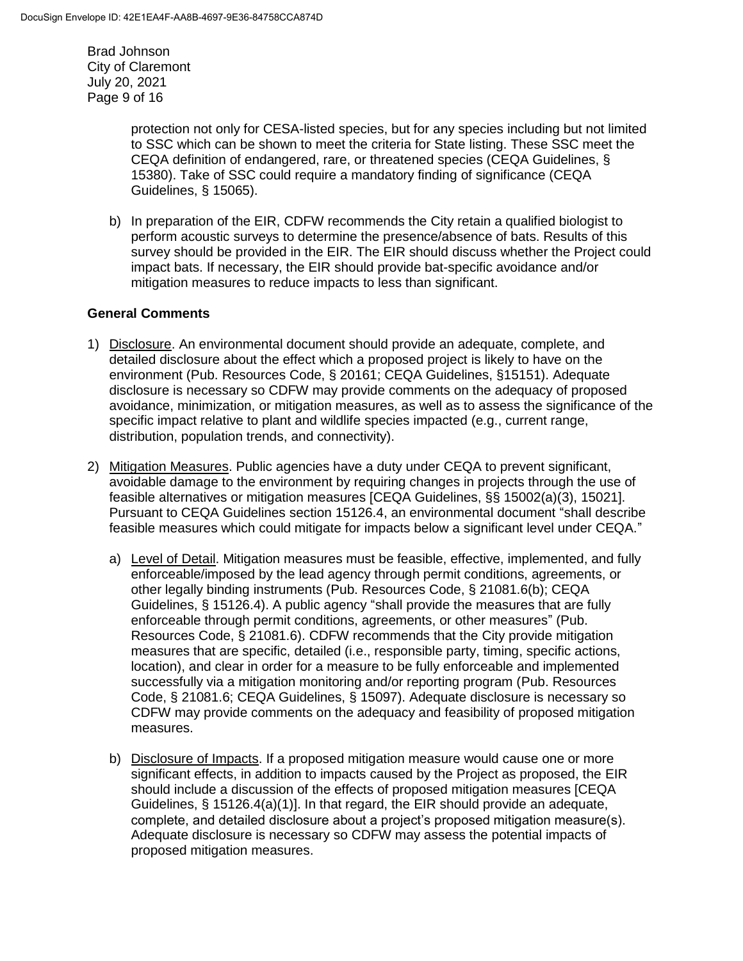Brad Johnson City of Claremont July 20, 2021 Page 9 of 16

> protection not only for CESA-listed species, but for any species including but not limited to SSC which can be shown to meet the criteria for State listing. These SSC meet the CEQA definition of endangered, rare, or threatened species (CEQA Guidelines, § 15380). Take of SSC could require a mandatory finding of significance (CEQA Guidelines, § 15065).

b) In preparation of the EIR, CDFW recommends the City retain a qualified biologist to perform acoustic surveys to determine the presence/absence of bats. Results of this survey should be provided in the EIR. The EIR should discuss whether the Project could impact bats. If necessary, the EIR should provide bat-specific avoidance and/or mitigation measures to reduce impacts to less than significant.

## **General Comments**

- 1) Disclosure. An environmental document should provide an adequate, complete, and detailed disclosure about the effect which a proposed project is likely to have on the environment (Pub. Resources Code, § 20161; CEQA Guidelines, §15151). Adequate disclosure is necessary so CDFW may provide comments on the adequacy of proposed avoidance, minimization, or mitigation measures, as well as to assess the significance of the specific impact relative to plant and wildlife species impacted (e.g., current range, distribution, population trends, and connectivity).
- 2) Mitigation Measures. Public agencies have a duty under CEQA to prevent significant, avoidable damage to the environment by requiring changes in projects through the use of feasible alternatives or mitigation measures [CEQA Guidelines, §§ 15002(a)(3), 15021]. Pursuant to CEQA Guidelines section 15126.4, an environmental document "shall describe feasible measures which could mitigate for impacts below a significant level under CEQA."
	- a) Level of Detail. Mitigation measures must be feasible, effective, implemented, and fully enforceable/imposed by the lead agency through permit conditions, agreements, or other legally binding instruments (Pub. Resources Code, § 21081.6(b); CEQA Guidelines, § 15126.4). A public agency "shall provide the measures that are fully enforceable through permit conditions, agreements, or other measures" (Pub. Resources Code, § 21081.6). CDFW recommends that the City provide mitigation measures that are specific, detailed (i.e., responsible party, timing, specific actions, location), and clear in order for a measure to be fully enforceable and implemented successfully via a mitigation monitoring and/or reporting program (Pub. Resources Code, § 21081.6; CEQA Guidelines, § 15097). Adequate disclosure is necessary so CDFW may provide comments on the adequacy and feasibility of proposed mitigation measures.
	- b) Disclosure of Impacts. If a proposed mitigation measure would cause one or more significant effects, in addition to impacts caused by the Project as proposed, the EIR should include a discussion of the effects of proposed mitigation measures [CEQA Guidelines, § 15126.4(a)(1)]. In that regard, the EIR should provide an adequate, complete, and detailed disclosure about a project's proposed mitigation measure(s). Adequate disclosure is necessary so CDFW may assess the potential impacts of proposed mitigation measures.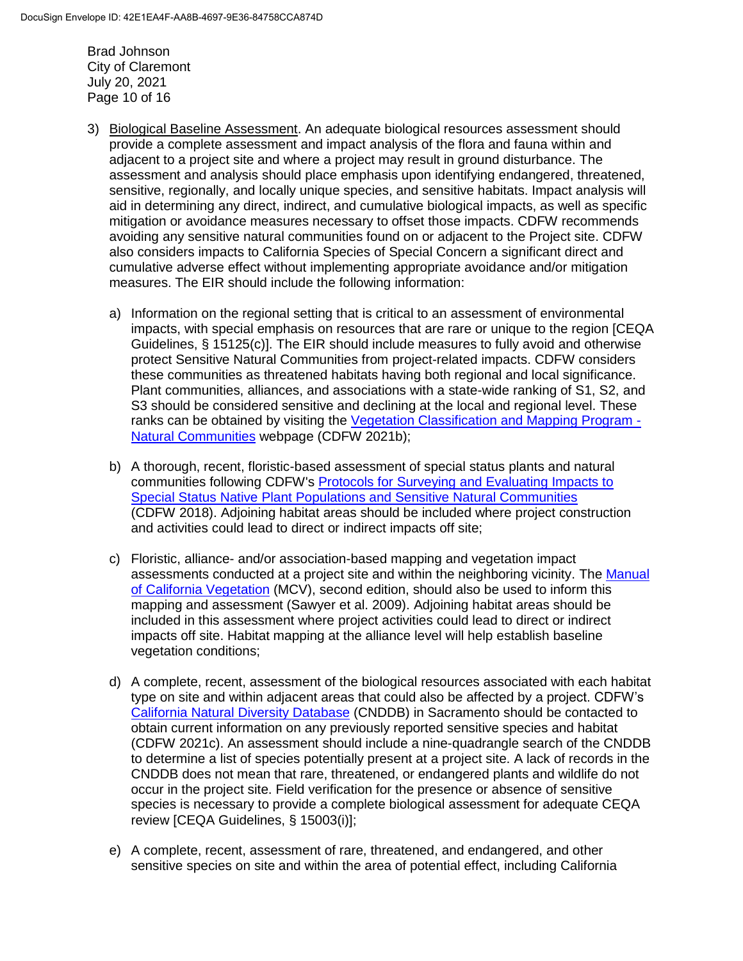Brad Johnson City of Claremont July 20, 2021 Page 10 of 16

- 3) Biological Baseline Assessment. An adequate biological resources assessment should provide a complete assessment and impact analysis of the flora and fauna within and adjacent to a project site and where a project may result in ground disturbance. The assessment and analysis should place emphasis upon identifying endangered, threatened, sensitive, regionally, and locally unique species, and sensitive habitats. Impact analysis will aid in determining any direct, indirect, and cumulative biological impacts, as well as specific mitigation or avoidance measures necessary to offset those impacts. CDFW recommends avoiding any sensitive natural communities found on or adjacent to the Project site. CDFW also considers impacts to California Species of Special Concern a significant direct and cumulative adverse effect without implementing appropriate avoidance and/or mitigation measures. The EIR should include the following information:
	- a) Information on the regional setting that is critical to an assessment of environmental impacts, with special emphasis on resources that are rare or unique to the region [CEQA Guidelines, § 15125(c)]. The EIR should include measures to fully avoid and otherwise protect Sensitive Natural Communities from project-related impacts. CDFW considers these communities as threatened habitats having both regional and local significance. Plant communities, alliances, and associations with a state-wide ranking of S1, S2, and S3 should be considered sensitive and declining at the local and regional level. These ranks can be obtained by visiting the [Vegetation Classification and Mapping Program -](https://wildlife.ca.gov/Data/VegCAMP/Natural-Communities) [Natural Communities](https://wildlife.ca.gov/Data/VegCAMP/Natural-Communities) webpage (CDFW 2021b);
	- b) A thorough, recent, floristic-based assessment of special status plants and natural communities following CDFW's [Protocols for Surveying and Evaluating Impacts to](https://nrm.dfg.ca.gov/FileHandler.ashx?DocumentID=18959&inline)  [Special Status Native Plant Populations and Sensitive Natural Communities](https://nrm.dfg.ca.gov/FileHandler.ashx?DocumentID=18959&inline) (CDFW 2018). Adjoining habitat areas should be included where project construction and activities could lead to direct or indirect impacts off site;
	- c) Floristic, alliance- and/or association-based mapping and vegetation impact assessments conducted at a project site and within the neighboring vicinity. The [Manual](http://vegetation.cnps.org/)  [of California Vegetation](http://vegetation.cnps.org/) (MCV), second edition, should also be used to inform this mapping and assessment (Sawyer et al. 2009). Adjoining habitat areas should be included in this assessment where project activities could lead to direct or indirect impacts off site. Habitat mapping at the alliance level will help establish baseline vegetation conditions;
	- d) A complete, recent, assessment of the biological resources associated with each habitat type on site and within adjacent areas that could also be affected by a project. CDFW's [California Natural Diversity Database](https://wildlife.ca.gov/Data/CNDDB) (CNDDB) in Sacramento should be contacted to obtain current information on any previously reported sensitive species and habitat (CDFW 2021c). An assessment should include a nine-quadrangle search of the CNDDB to determine a list of species potentially present at a project site. A lack of records in the CNDDB does not mean that rare, threatened, or endangered plants and wildlife do not occur in the project site. Field verification for the presence or absence of sensitive species is necessary to provide a complete biological assessment for adequate CEQA review [CEQA Guidelines, § 15003(i)];
	- e) A complete, recent, assessment of rare, threatened, and endangered, and other sensitive species on site and within the area of potential effect, including California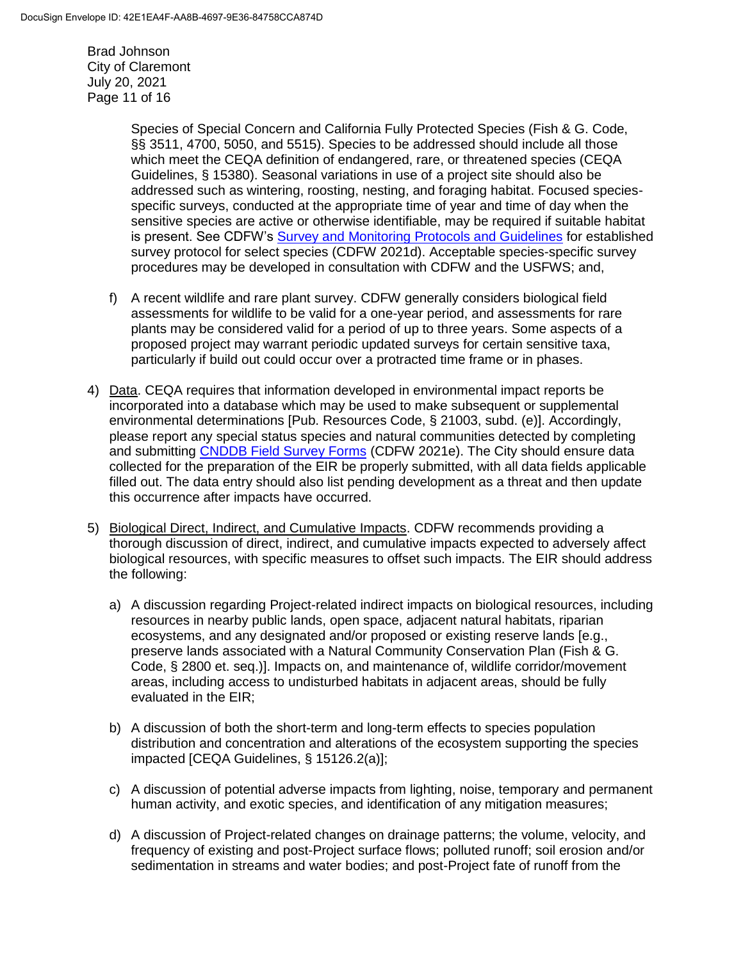Brad Johnson City of Claremont July 20, 2021 Page 11 of 16

> Species of Special Concern and California Fully Protected Species (Fish & G. Code, §§ 3511, 4700, 5050, and 5515). Species to be addressed should include all those which meet the CEQA definition of endangered, rare, or threatened species (CEQA Guidelines, § 15380). Seasonal variations in use of a project site should also be addressed such as wintering, roosting, nesting, and foraging habitat. Focused speciesspecific surveys, conducted at the appropriate time of year and time of day when the sensitive species are active or otherwise identifiable, may be required if suitable habitat is present. See CDFW's [Survey and Monitoring Protocols and Guidelines](https://wildlife.ca.gov/conservation/survey-protocols) for established survey protocol for select species (CDFW 2021d). Acceptable species-specific survey procedures may be developed in consultation with CDFW and the USFWS; and,

- f) A recent wildlife and rare plant survey. CDFW generally considers biological field assessments for wildlife to be valid for a one-year period, and assessments for rare plants may be considered valid for a period of up to three years. Some aspects of a proposed project may warrant periodic updated surveys for certain sensitive taxa, particularly if build out could occur over a protracted time frame or in phases.
- 4) Data. CEQA requires that information developed in environmental impact reports be incorporated into a database which may be used to make subsequent or supplemental environmental determinations [Pub. Resources Code, § 21003, subd. (e)]. Accordingly, please report any special status species and natural communities detected by completing and submitting [CNDDB Field Survey Forms](https://wildlife.ca.gov/Data/CNDDB/Submitting-Data) (CDFW 2021e). The City should ensure data collected for the preparation of the EIR be properly submitted, with all data fields applicable filled out. The data entry should also list pending development as a threat and then update this occurrence after impacts have occurred.
- 5) Biological Direct, Indirect, and Cumulative Impacts. CDFW recommends providing a thorough discussion of direct, indirect, and cumulative impacts expected to adversely affect biological resources, with specific measures to offset such impacts. The EIR should address the following:
	- a) A discussion regarding Project-related indirect impacts on biological resources, including resources in nearby public lands, open space, adjacent natural habitats, riparian ecosystems, and any designated and/or proposed or existing reserve lands [e.g., preserve lands associated with a Natural Community Conservation Plan (Fish & G. Code, § 2800 et. seq.)]. Impacts on, and maintenance of, wildlife corridor/movement areas, including access to undisturbed habitats in adjacent areas, should be fully evaluated in the EIR;
	- b) A discussion of both the short-term and long-term effects to species population distribution and concentration and alterations of the ecosystem supporting the species impacted [CEQA Guidelines, § 15126.2(a)];
	- c) A discussion of potential adverse impacts from lighting, noise, temporary and permanent human activity, and exotic species, and identification of any mitigation measures;
	- d) A discussion of Project-related changes on drainage patterns; the volume, velocity, and frequency of existing and post-Project surface flows; polluted runoff; soil erosion and/or sedimentation in streams and water bodies; and post-Project fate of runoff from the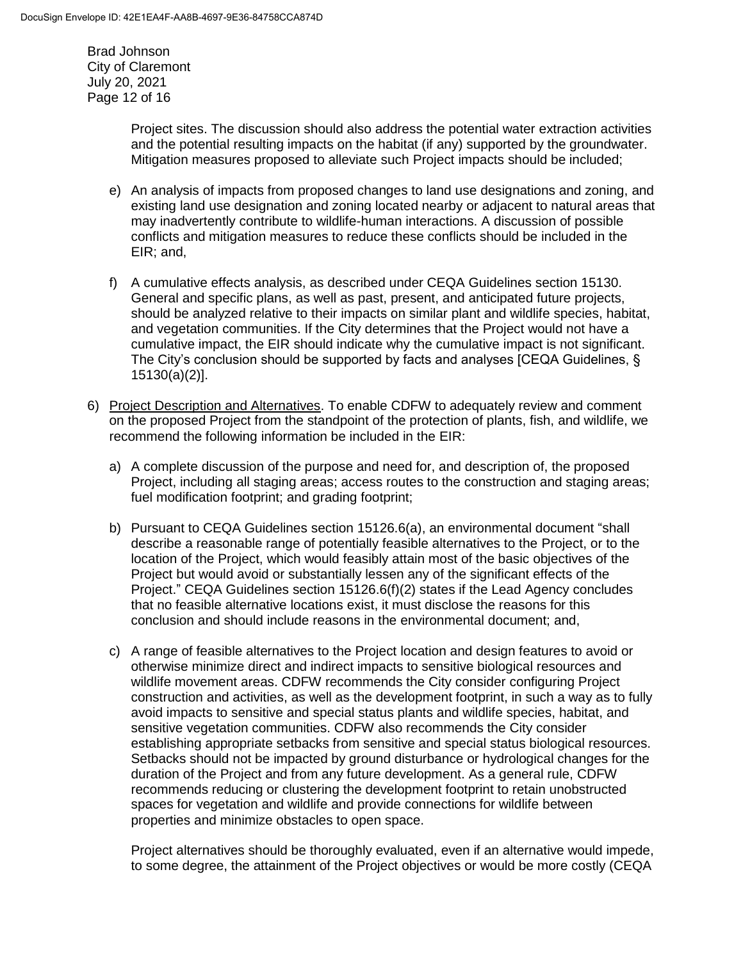Brad Johnson City of Claremont July 20, 2021 Page 12 of 16

> Project sites. The discussion should also address the potential water extraction activities and the potential resulting impacts on the habitat (if any) supported by the groundwater. Mitigation measures proposed to alleviate such Project impacts should be included;

- e) An analysis of impacts from proposed changes to land use designations and zoning, and existing land use designation and zoning located nearby or adjacent to natural areas that may inadvertently contribute to wildlife-human interactions. A discussion of possible conflicts and mitigation measures to reduce these conflicts should be included in the EIR; and,
- f) A cumulative effects analysis, as described under CEQA Guidelines section 15130. General and specific plans, as well as past, present, and anticipated future projects, should be analyzed relative to their impacts on similar plant and wildlife species, habitat, and vegetation communities. If the City determines that the Project would not have a cumulative impact, the EIR should indicate why the cumulative impact is not significant. The City's conclusion should be supported by facts and analyses [CEQA Guidelines, § 15130(a)(2)].
- 6) Project Description and Alternatives. To enable CDFW to adequately review and comment on the proposed Project from the standpoint of the protection of plants, fish, and wildlife, we recommend the following information be included in the EIR:
	- a) A complete discussion of the purpose and need for, and description of, the proposed Project, including all staging areas; access routes to the construction and staging areas; fuel modification footprint; and grading footprint;
	- b) Pursuant to CEQA Guidelines section 15126.6(a), an environmental document "shall describe a reasonable range of potentially feasible alternatives to the Project, or to the location of the Project, which would feasibly attain most of the basic objectives of the Project but would avoid or substantially lessen any of the significant effects of the Project." CEQA Guidelines section 15126.6(f)(2) states if the Lead Agency concludes that no feasible alternative locations exist, it must disclose the reasons for this conclusion and should include reasons in the environmental document; and,
	- c) A range of feasible alternatives to the Project location and design features to avoid or otherwise minimize direct and indirect impacts to sensitive biological resources and wildlife movement areas. CDFW recommends the City consider configuring Project construction and activities, as well as the development footprint, in such a way as to fully avoid impacts to sensitive and special status plants and wildlife species, habitat, and sensitive vegetation communities. CDFW also recommends the City consider establishing appropriate setbacks from sensitive and special status biological resources. Setbacks should not be impacted by ground disturbance or hydrological changes for the duration of the Project and from any future development. As a general rule, CDFW recommends reducing or clustering the development footprint to retain unobstructed spaces for vegetation and wildlife and provide connections for wildlife between properties and minimize obstacles to open space.

Project alternatives should be thoroughly evaluated, even if an alternative would impede, to some degree, the attainment of the Project objectives or would be more costly (CEQA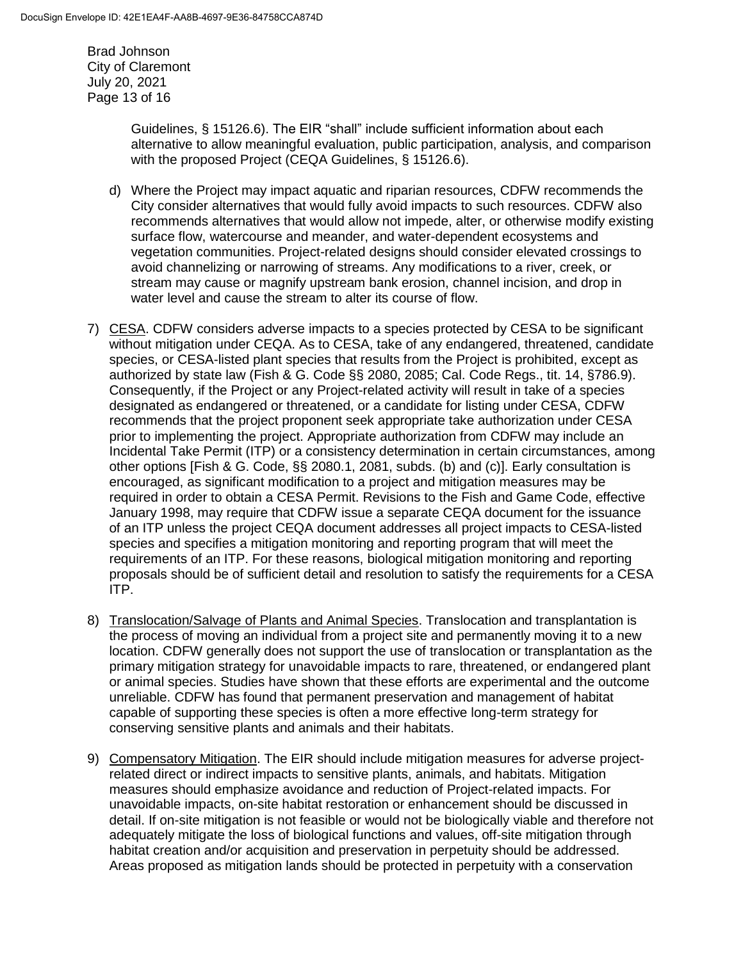Brad Johnson City of Claremont July 20, 2021 Page 13 of 16

> Guidelines, § 15126.6). The EIR "shall" include sufficient information about each alternative to allow meaningful evaluation, public participation, analysis, and comparison with the proposed Project (CEQA Guidelines, § 15126.6).

- d) Where the Project may impact aquatic and riparian resources, CDFW recommends the City consider alternatives that would fully avoid impacts to such resources. CDFW also recommends alternatives that would allow not impede, alter, or otherwise modify existing surface flow, watercourse and meander, and water-dependent ecosystems and vegetation communities. Project-related designs should consider elevated crossings to avoid channelizing or narrowing of streams. Any modifications to a river, creek, or stream may cause or magnify upstream bank erosion, channel incision, and drop in water level and cause the stream to alter its course of flow.
- 7) CESA. CDFW considers adverse impacts to a species protected by CESA to be significant without mitigation under CEQA. As to CESA, take of any endangered, threatened, candidate species, or CESA-listed plant species that results from the Project is prohibited, except as authorized by state law (Fish & G. Code §§ 2080, 2085; Cal. Code Regs., tit. 14, §786.9). Consequently, if the Project or any Project-related activity will result in take of a species designated as endangered or threatened, or a candidate for listing under CESA, CDFW recommends that the project proponent seek appropriate take authorization under CESA prior to implementing the project. Appropriate authorization from CDFW may include an Incidental Take Permit (ITP) or a consistency determination in certain circumstances, among other options [Fish & G. Code, §§ 2080.1, 2081, subds. (b) and (c)]. Early consultation is encouraged, as significant modification to a project and mitigation measures may be required in order to obtain a CESA Permit. Revisions to the Fish and Game Code, effective January 1998, may require that CDFW issue a separate CEQA document for the issuance of an ITP unless the project CEQA document addresses all project impacts to CESA-listed species and specifies a mitigation monitoring and reporting program that will meet the requirements of an ITP. For these reasons, biological mitigation monitoring and reporting proposals should be of sufficient detail and resolution to satisfy the requirements for a CESA ITP.
- 8) Translocation/Salvage of Plants and Animal Species. Translocation and transplantation is the process of moving an individual from a project site and permanently moving it to a new location. CDFW generally does not support the use of translocation or transplantation as the primary mitigation strategy for unavoidable impacts to rare, threatened, or endangered plant or animal species. Studies have shown that these efforts are experimental and the outcome unreliable. CDFW has found that permanent preservation and management of habitat capable of supporting these species is often a more effective long-term strategy for conserving sensitive plants and animals and their habitats.
- 9) Compensatory Mitigation. The EIR should include mitigation measures for adverse projectrelated direct or indirect impacts to sensitive plants, animals, and habitats. Mitigation measures should emphasize avoidance and reduction of Project-related impacts. For unavoidable impacts, on-site habitat restoration or enhancement should be discussed in detail. If on-site mitigation is not feasible or would not be biologically viable and therefore not adequately mitigate the loss of biological functions and values, off-site mitigation through habitat creation and/or acquisition and preservation in perpetuity should be addressed. Areas proposed as mitigation lands should be protected in perpetuity with a conservation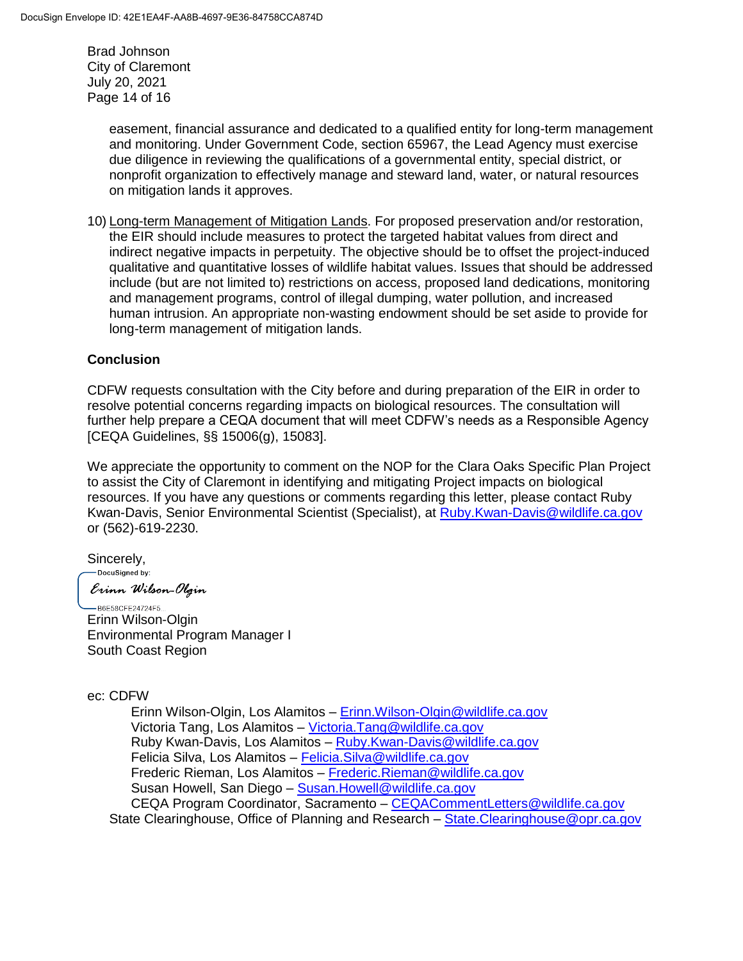Brad Johnson City of Claremont July 20, 2021 Page 14 of 16

> easement, financial assurance and dedicated to a qualified entity for long-term management and monitoring. Under Government Code, section 65967, the Lead Agency must exercise due diligence in reviewing the qualifications of a governmental entity, special district, or nonprofit organization to effectively manage and steward land, water, or natural resources on mitigation lands it approves.

10) Long-term Management of Mitigation Lands. For proposed preservation and/or restoration, the EIR should include measures to protect the targeted habitat values from direct and indirect negative impacts in perpetuity. The objective should be to offset the project-induced qualitative and quantitative losses of wildlife habitat values. Issues that should be addressed include (but are not limited to) restrictions on access, proposed land dedications, monitoring and management programs, control of illegal dumping, water pollution, and increased human intrusion. An appropriate non-wasting endowment should be set aside to provide for long-term management of mitigation lands.

## **Conclusion**

CDFW requests consultation with the City before and during preparation of the EIR in order to resolve potential concerns regarding impacts on biological resources. The consultation will further help prepare a CEQA document that will meet CDFW's needs as a Responsible Agency [CEQA Guidelines, §§ 15006(g), 15083].

We appreciate the opportunity to comment on the NOP for the Clara Oaks Specific Plan Project to assist the City of Claremont in identifying and mitigating Project impacts on biological resources. If you have any questions or comments regarding this letter, please contact Ruby Kwan-Davis, Senior Environmental Scientist (Specialist), at [Ruby.Kwan-Davis@wildlife.ca.gov](mailto:Ruby.Kwan-Davis@wildlife.ca.gov) or (562)-619-2230.

Sincerely,<br>
Sincerely,

Erinn Wilson-Olgin

-B6E58CFE24724F5... Erinn Wilson-Olgin Environmental Program Manager I South Coast Region

#### ec: CDFW

Erinn Wilson-Olgin, Los Alamitos – [Erinn.Wilson-Olgin@wildlife.ca.gov](mailto:Erinn.Wilson-Olgin@wildlife.ca.gov) Victoria Tang, Los Alamitos – [Victoria.Tang@wildlife.ca.gov](mailto:Victoria.Tang@wildlife.ca.gov) Ruby Kwan-Davis, Los Alamitos – [Ruby.Kwan-Davis@wildlife.ca.gov](mailto:Ruby.Kwan-Davis@wildlife.ca.gov) Felicia Silva, Los Alamitos – [Felicia.Silva@wildlife.ca.gov](mailto:Felicia.Silva@wildlife.ca.gov) Frederic Rieman, Los Alamitos – [Frederic.Rieman@wildlife.ca.gov](mailto:Frederic.Rieman@wildlife.ca.gov) Susan Howell, San Diego - Susan. Howell@wildlife.ca.gov CEQA Program Coordinator, Sacramento – [CEQACommentLetters@wildlife.ca.gov](mailto:CEQACommentLetters@wildlife.ca.gov)  State Clearinghouse, Office of Planning and Research – [State.Clearinghouse@opr.ca.gov](mailto:State.Clearinghouse@opr.ca.gov)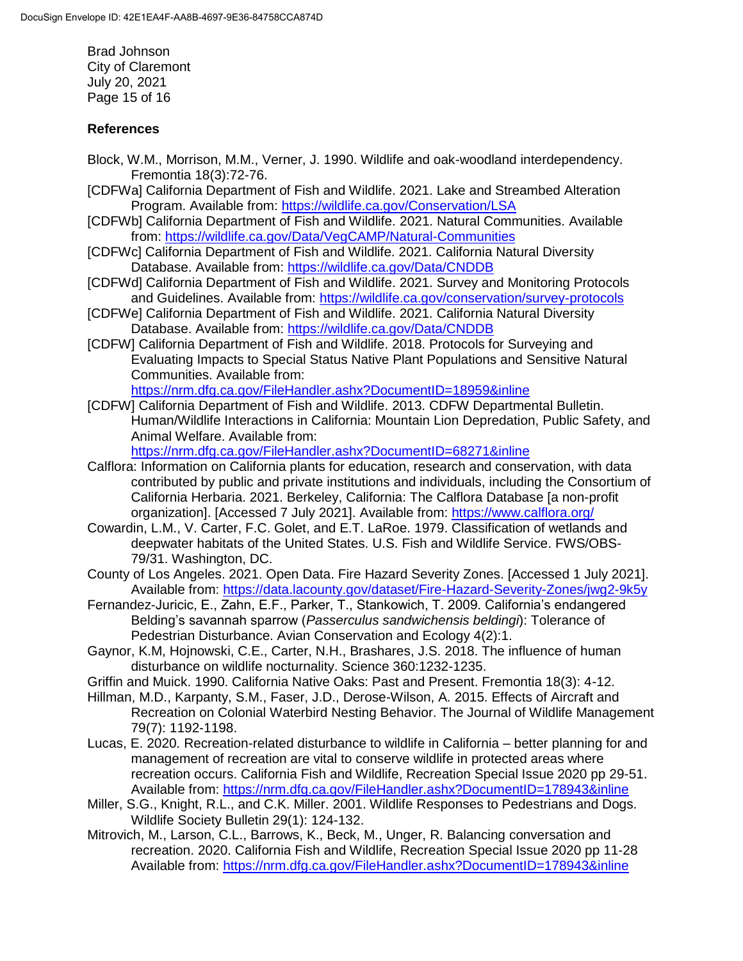Brad Johnson City of Claremont July 20, 2021 Page 15 of 16

## **References**

- Block, W.M., Morrison, M.M., Verner, J. 1990. Wildlife and oak-woodland interdependency. Fremontia 18(3):72-76.
- [CDFWa] California Department of Fish and Wildlife. 2021. Lake and Streambed Alteration Program. Available from:<https://wildlife.ca.gov/Conservation/LSA>
- [CDFWb] California Department of Fish and Wildlife. 2021. Natural Communities. Available from:<https://wildlife.ca.gov/Data/VegCAMP/Natural-Communities>
- [CDFWc] California Department of Fish and Wildlife. 2021. California Natural Diversity Database. Available from:<https://wildlife.ca.gov/Data/CNDDB>
- [CDFWd] California Department of Fish and Wildlife. 2021. Survey and Monitoring Protocols and Guidelines. Available from: https://wildlife.ca.gov/conservation/survey-protocols
- [CDFWe] California Department of Fish and Wildlife. 2021. California Natural Diversity Database. Available from:<https://wildlife.ca.gov/Data/CNDDB>
- [CDFW] California Department of Fish and Wildlife. 2018. Protocols for Surveying and Evaluating Impacts to Special Status Native Plant Populations and Sensitive Natural Communities. Available from: <https://nrm.dfg.ca.gov/FileHandler.ashx?DocumentID=18959&inline>
- [CDFW] California Department of Fish and Wildlife. 2013. CDFW Departmental Bulletin. Human/Wildlife Interactions in California: Mountain Lion Depredation, Public Safety, and Animal Welfare. Available from:

<https://nrm.dfg.ca.gov/FileHandler.ashx?DocumentID=68271&inline>

- Calflora: Information on California plants for education, research and conservation, with data contributed by public and private institutions and individuals, including the Consortium of California Herbaria. 2021. Berkeley, California: The Calflora Database [a non-profit organization]. [Accessed 7 July 2021]. Available from:<https://www.calflora.org/>
- Cowardin, L.M., V. Carter, F.C. Golet, and E.T. LaRoe. 1979. Classification of wetlands and deepwater habitats of the United States. U.S. Fish and Wildlife Service. FWS/OBS-79/31. Washington, DC.
- County of Los Angeles. 2021. Open Data. Fire Hazard Severity Zones. [Accessed 1 July 2021]. Available from:<https://data.lacounty.gov/dataset/Fire-Hazard-Severity-Zones/jwg2-9k5y>
- Fernandez-Juricic, E., Zahn, E.F., Parker, T., Stankowich, T. 2009. California's endangered Belding's savannah sparrow (*Passerculus sandwichensis beldingi*): Tolerance of Pedestrian Disturbance. Avian Conservation and Ecology 4(2):1.
- Gaynor, K.M, Hojnowski, C.E., Carter, N.H., Brashares, J.S. 2018. The influence of human disturbance on wildlife nocturnality. Science 360:1232-1235.
- Griffin and Muick. 1990. California Native Oaks: Past and Present. Fremontia 18(3): 4-12.
- Hillman, M.D., Karpanty, S.M., Faser, J.D., Derose-Wilson, A. 2015. Effects of Aircraft and Recreation on Colonial Waterbird Nesting Behavior. The Journal of Wildlife Management 79(7): 1192-1198.
- Lucas, E. 2020. Recreation-related disturbance to wildlife in California better planning for and management of recreation are vital to conserve wildlife in protected areas where recreation occurs. California Fish and Wildlife, Recreation Special Issue 2020 pp 29-51. Available from:<https://nrm.dfg.ca.gov/FileHandler.ashx?DocumentID=178943&inline>
- Miller, S.G., Knight, R.L., and C.K. Miller. 2001. Wildlife Responses to Pedestrians and Dogs. Wildlife Society Bulletin 29(1): 124-132.
- Mitrovich, M., Larson, C.L., Barrows, K., Beck, M., Unger, R. Balancing conversation and recreation. 2020. California Fish and Wildlife, Recreation Special Issue 2020 pp 11-28 Available from:<https://nrm.dfg.ca.gov/FileHandler.ashx?DocumentID=178943&inline>